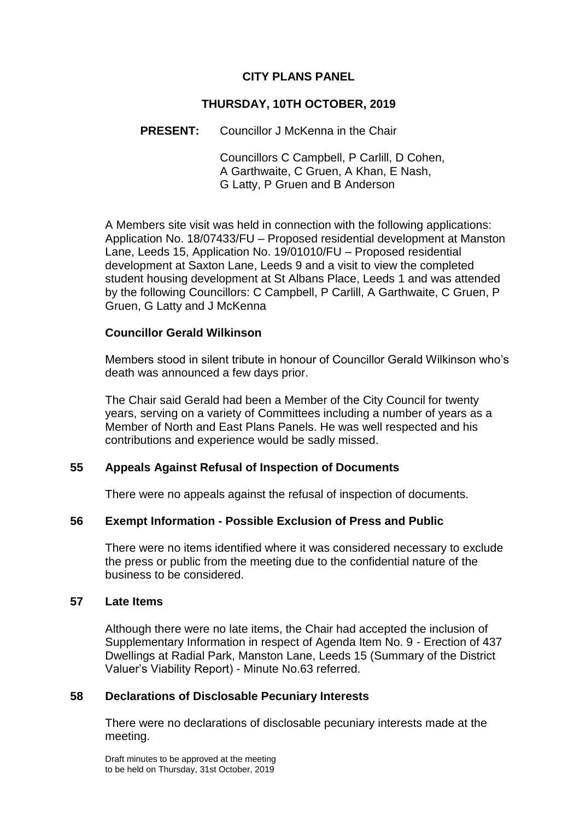## **CITY PLANS PANEL**

## **THURSDAY, 10TH OCTOBER, 2019**

### **PRESENT:** Councillor J McKenna in the Chair

Councillors C Campbell, P Carlill, D Cohen, A Garthwaite, C Gruen, A Khan, E Nash, G Latty, P Gruen and B Anderson

A Members site visit was held in connection with the following applications: Application No. 18/07433/FU – Proposed residential development at Manston Lane, Leeds 15, Application No. 19/01010/FU – Proposed residential development at Saxton Lane, Leeds 9 and a visit to view the completed student housing development at St Albans Place, Leeds 1 and was attended by the following Councillors: C Campbell, P Carlill, A Garthwaite, C Gruen, P Gruen, G Latty and J McKenna

#### **Councillor Gerald Wilkinson**

Members stood in silent tribute in honour of Councillor Gerald Wilkinson who's death was announced a few days prior.

The Chair said Gerald had been a Member of the City Council for twenty years, serving on a variety of Committees including a number of years as a Member of North and East Plans Panels. He was well respected and his contributions and experience would be sadly missed.

### **55 Appeals Against Refusal of Inspection of Documents**

There were no appeals against the refusal of inspection of documents.

### **56 Exempt Information - Possible Exclusion of Press and Public**

There were no items identified where it was considered necessary to exclude the press or public from the meeting due to the confidential nature of the business to be considered.

#### **57 Late Items**

Although there were no late items, the Chair had accepted the inclusion of Supplementary Information in respect of Agenda Item No. 9 - Erection of 437 Dwellings at Radial Park, Manston Lane, Leeds 15 (Summary of the District Valuer's Viability Report) - Minute No.63 referred.

### **58 Declarations of Disclosable Pecuniary Interests**

There were no declarations of disclosable pecuniary interests made at the meeting.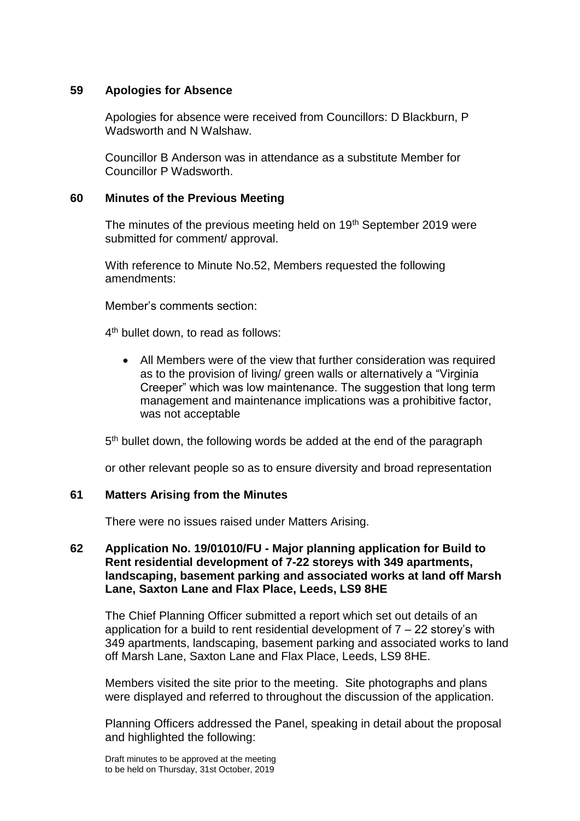### **59 Apologies for Absence**

Apologies for absence were received from Councillors: D Blackburn, P Wadsworth and N Walshaw.

Councillor B Anderson was in attendance as a substitute Member for Councillor P Wadsworth.

#### **60 Minutes of the Previous Meeting**

The minutes of the previous meeting held on 19<sup>th</sup> September 2019 were submitted for comment/ approval.

With reference to Minute No.52, Members requested the following amendments:

Member's comments section:

4 th bullet down, to read as follows:

 All Members were of the view that further consideration was required as to the provision of living/ green walls or alternatively a "Virginia Creeper" which was low maintenance. The suggestion that long term management and maintenance implications was a prohibitive factor, was not acceptable

5<sup>th</sup> bullet down, the following words be added at the end of the paragraph

or other relevant people so as to ensure diversity and broad representation

#### **61 Matters Arising from the Minutes**

There were no issues raised under Matters Arising.

## **62 Application No. 19/01010/FU - Major planning application for Build to Rent residential development of 7-22 storeys with 349 apartments, landscaping, basement parking and associated works at land off Marsh Lane, Saxton Lane and Flax Place, Leeds, LS9 8HE**

The Chief Planning Officer submitted a report which set out details of an application for a build to rent residential development of  $7 - 22$  storey's with 349 apartments, landscaping, basement parking and associated works to land off Marsh Lane, Saxton Lane and Flax Place, Leeds, LS9 8HE.

Members visited the site prior to the meeting. Site photographs and plans were displayed and referred to throughout the discussion of the application.

Planning Officers addressed the Panel, speaking in detail about the proposal and highlighted the following:

Draft minutes to be approved at the meeting to be held on Thursday, 31st October, 2019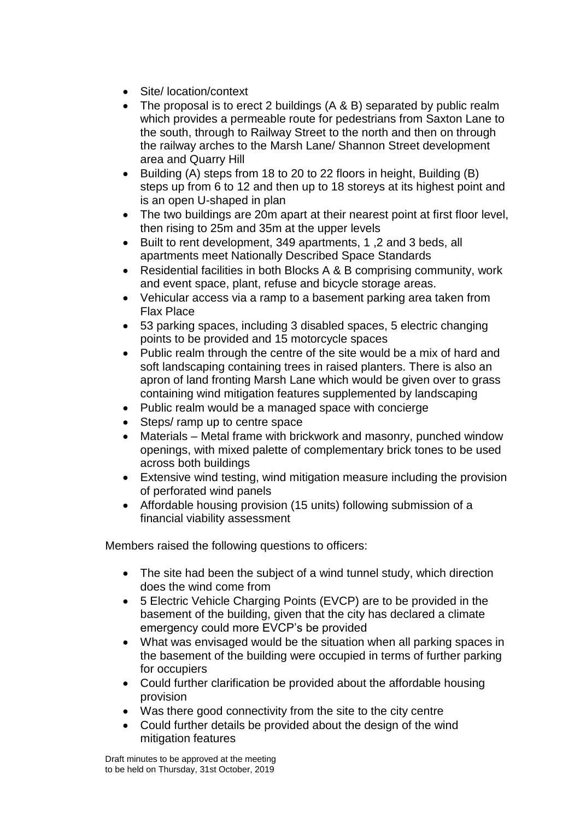- Site/ location/context
- The proposal is to erect 2 buildings (A & B) separated by public realm which provides a permeable route for pedestrians from Saxton Lane to the south, through to Railway Street to the north and then on through the railway arches to the Marsh Lane/ Shannon Street development area and Quarry Hill
- Building (A) steps from 18 to 20 to 22 floors in height, Building (B) steps up from 6 to 12 and then up to 18 storeys at its highest point and is an open U-shaped in plan
- The two buildings are 20m apart at their nearest point at first floor level, then rising to 25m and 35m at the upper levels
- Built to rent development, 349 apartments, 1 ,2 and 3 beds, all apartments meet Nationally Described Space Standards
- Residential facilities in both Blocks A & B comprising community, work and event space, plant, refuse and bicycle storage areas.
- Vehicular access via a ramp to a basement parking area taken from Flax Place
- 53 parking spaces, including 3 disabled spaces, 5 electric changing points to be provided and 15 motorcycle spaces
- Public realm through the centre of the site would be a mix of hard and soft landscaping containing trees in raised planters. There is also an apron of land fronting Marsh Lane which would be given over to grass containing wind mitigation features supplemented by landscaping
- Public realm would be a managed space with concierge
- Steps/ ramp up to centre space
- Materials Metal frame with brickwork and masonry, punched window openings, with mixed palette of complementary brick tones to be used across both buildings
- Extensive wind testing, wind mitigation measure including the provision of perforated wind panels
- Affordable housing provision (15 units) following submission of a financial viability assessment

Members raised the following questions to officers:

- The site had been the subject of a wind tunnel study, which direction does the wind come from
- 5 Electric Vehicle Charging Points (EVCP) are to be provided in the basement of the building, given that the city has declared a climate emergency could more EVCP's be provided
- What was envisaged would be the situation when all parking spaces in the basement of the building were occupied in terms of further parking for occupiers
- Could further clarification be provided about the affordable housing provision
- Was there good connectivity from the site to the city centre
- Could further details be provided about the design of the wind mitigation features

Draft minutes to be approved at the meeting to be held on Thursday, 31st October, 2019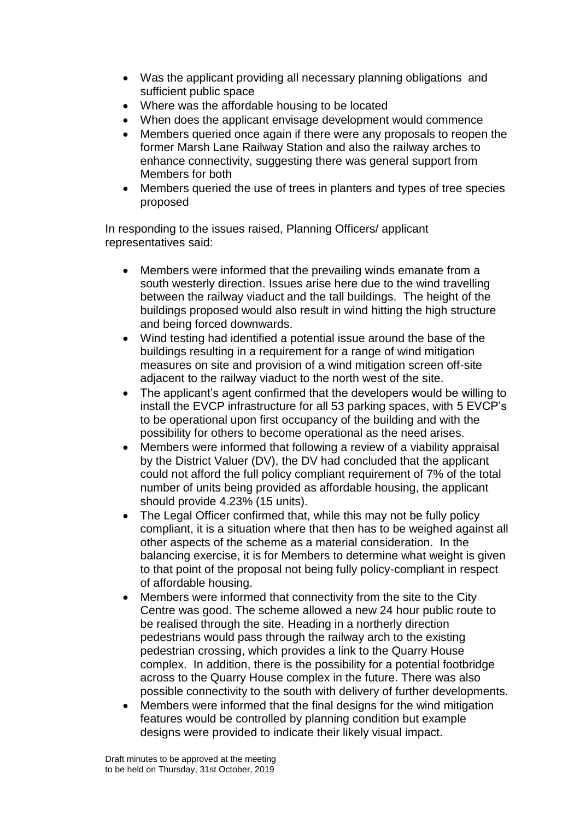- Was the applicant providing all necessary planning obligations and sufficient public space
- Where was the affordable housing to be located
- When does the applicant envisage development would commence
- Members queried once again if there were any proposals to reopen the former Marsh Lane Railway Station and also the railway arches to enhance connectivity, suggesting there was general support from Members for both
- Members queried the use of trees in planters and types of tree species proposed

In responding to the issues raised, Planning Officers/ applicant representatives said:

- Members were informed that the prevailing winds emanate from a south westerly direction. Issues arise here due to the wind travelling between the railway viaduct and the tall buildings. The height of the buildings proposed would also result in wind hitting the high structure and being forced downwards.
- Wind testing had identified a potential issue around the base of the buildings resulting in a requirement for a range of wind mitigation measures on site and provision of a wind mitigation screen off-site adjacent to the railway viaduct to the north west of the site.
- The applicant's agent confirmed that the developers would be willing to install the EVCP infrastructure for all 53 parking spaces, with 5 EVCP's to be operational upon first occupancy of the building and with the possibility for others to become operational as the need arises.
- Members were informed that following a review of a viability appraisal by the District Valuer (DV), the DV had concluded that the applicant could not afford the full policy compliant requirement of 7% of the total number of units being provided as affordable housing, the applicant should provide 4.23% (15 units).
- The Legal Officer confirmed that, while this may not be fully policy compliant, it is a situation where that then has to be weighed against all other aspects of the scheme as a material consideration. In the balancing exercise, it is for Members to determine what weight is given to that point of the proposal not being fully policy-compliant in respect of affordable housing.
- Members were informed that connectivity from the site to the City Centre was good. The scheme allowed a new 24 hour public route to be realised through the site. Heading in a northerly direction pedestrians would pass through the railway arch to the existing pedestrian crossing, which provides a link to the Quarry House complex. In addition, there is the possibility for a potential footbridge across to the Quarry House complex in the future. There was also possible connectivity to the south with delivery of further developments.
- Members were informed that the final designs for the wind mitigation features would be controlled by planning condition but example designs were provided to indicate their likely visual impact.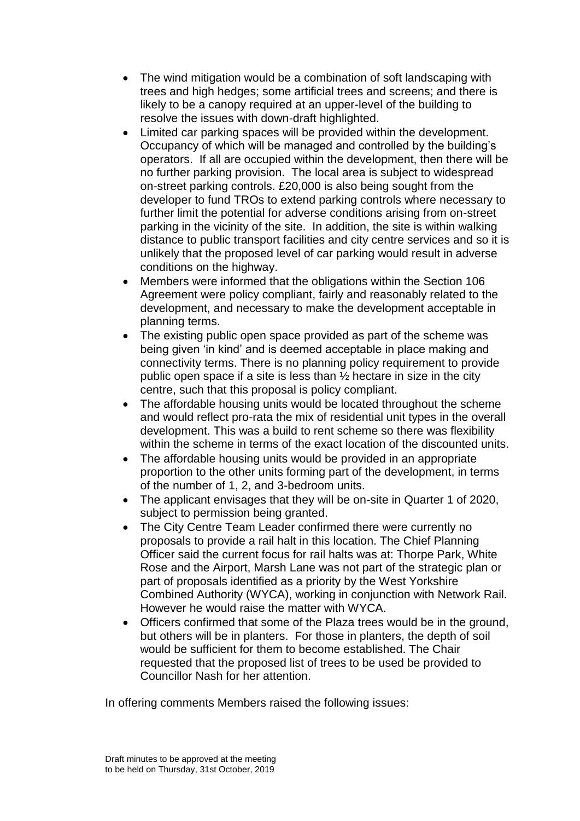- The wind mitigation would be a combination of soft landscaping with trees and high hedges; some artificial trees and screens; and there is likely to be a canopy required at an upper-level of the building to resolve the issues with down-draft highlighted.
- Limited car parking spaces will be provided within the development. Occupancy of which will be managed and controlled by the building's operators. If all are occupied within the development, then there will be no further parking provision. The local area is subject to widespread on-street parking controls. £20,000 is also being sought from the developer to fund TROs to extend parking controls where necessary to further limit the potential for adverse conditions arising from on-street parking in the vicinity of the site. In addition, the site is within walking distance to public transport facilities and city centre services and so it is unlikely that the proposed level of car parking would result in adverse conditions on the highway.
- Members were informed that the obligations within the Section 106 Agreement were policy compliant, fairly and reasonably related to the development, and necessary to make the development acceptable in planning terms.
- The existing public open space provided as part of the scheme was being given 'in kind' and is deemed acceptable in place making and connectivity terms. There is no planning policy requirement to provide public open space if a site is less than ½ hectare in size in the city centre, such that this proposal is policy compliant.
- The affordable housing units would be located throughout the scheme and would reflect pro-rata the mix of residential unit types in the overall development. This was a build to rent scheme so there was flexibility within the scheme in terms of the exact location of the discounted units.
- The affordable housing units would be provided in an appropriate proportion to the other units forming part of the development, in terms of the number of 1, 2, and 3-bedroom units.
- The applicant envisages that they will be on-site in Quarter 1 of 2020, subject to permission being granted.
- The City Centre Team Leader confirmed there were currently no proposals to provide a rail halt in this location. The Chief Planning Officer said the current focus for rail halts was at: Thorpe Park, White Rose and the Airport, Marsh Lane was not part of the strategic plan or part of proposals identified as a priority by the West Yorkshire Combined Authority (WYCA), working in conjunction with Network Rail. However he would raise the matter with WYCA.
- Officers confirmed that some of the Plaza trees would be in the ground, but others will be in planters. For those in planters, the depth of soil would be sufficient for them to become established. The Chair requested that the proposed list of trees to be used be provided to Councillor Nash for her attention.

In offering comments Members raised the following issues: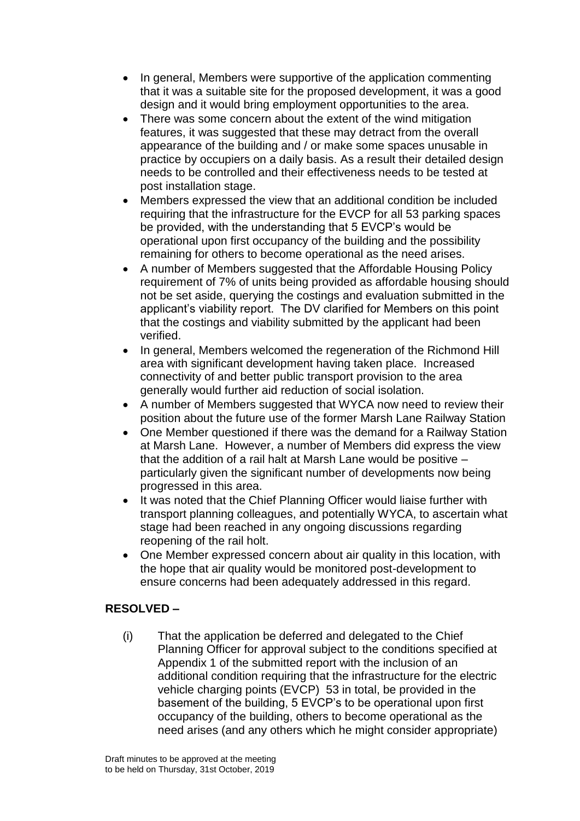- In general, Members were supportive of the application commenting that it was a suitable site for the proposed development, it was a good design and it would bring employment opportunities to the area.
- There was some concern about the extent of the wind mitigation features, it was suggested that these may detract from the overall appearance of the building and / or make some spaces unusable in practice by occupiers on a daily basis. As a result their detailed design needs to be controlled and their effectiveness needs to be tested at post installation stage.
- Members expressed the view that an additional condition be included requiring that the infrastructure for the EVCP for all 53 parking spaces be provided, with the understanding that 5 EVCP's would be operational upon first occupancy of the building and the possibility remaining for others to become operational as the need arises.
- A number of Members suggested that the Affordable Housing Policy requirement of 7% of units being provided as affordable housing should not be set aside, querying the costings and evaluation submitted in the applicant's viability report. The DV clarified for Members on this point that the costings and viability submitted by the applicant had been verified.
- In general, Members welcomed the regeneration of the Richmond Hill area with significant development having taken place. Increased connectivity of and better public transport provision to the area generally would further aid reduction of social isolation.
- A number of Members suggested that WYCA now need to review their position about the future use of the former Marsh Lane Railway Station
- One Member questioned if there was the demand for a Railway Station at Marsh Lane. However, a number of Members did express the view that the addition of a rail halt at Marsh Lane would be positive – particularly given the significant number of developments now being progressed in this area.
- It was noted that the Chief Planning Officer would liaise further with transport planning colleagues, and potentially WYCA, to ascertain what stage had been reached in any ongoing discussions regarding reopening of the rail holt.
- One Member expressed concern about air quality in this location, with the hope that air quality would be monitored post-development to ensure concerns had been adequately addressed in this regard.

# **RESOLVED –**

(i) That the application be deferred and delegated to the Chief Planning Officer for approval subject to the conditions specified at Appendix 1 of the submitted report with the inclusion of an additional condition requiring that the infrastructure for the electric vehicle charging points (EVCP) 53 in total, be provided in the basement of the building, 5 EVCP's to be operational upon first occupancy of the building, others to become operational as the need arises (and any others which he might consider appropriate)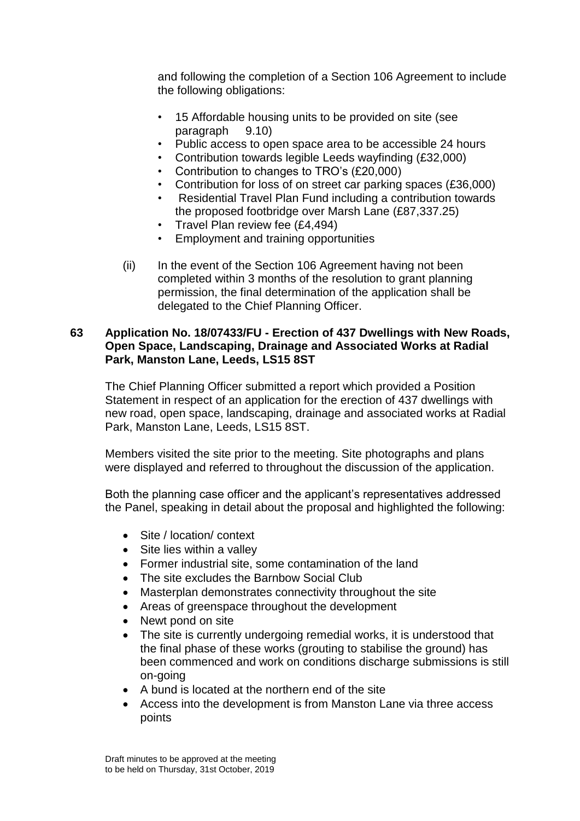and following the completion of a Section 106 Agreement to include the following obligations:

- 15 Affordable housing units to be provided on site (see paragraph 9.10)
- Public access to open space area to be accessible 24 hours
- Contribution towards legible Leeds wayfinding (£32,000)
- Contribution to changes to TRO's (£20,000)
- Contribution for loss of on street car parking spaces (£36,000)
- Residential Travel Plan Fund including a contribution towards the proposed footbridge over Marsh Lane (£87,337.25)
- Travel Plan review fee (£4,494)
- Employment and training opportunities
- (ii) In the event of the Section 106 Agreement having not been completed within 3 months of the resolution to grant planning permission, the final determination of the application shall be delegated to the Chief Planning Officer.

### **63 Application No. 18/07433/FU - Erection of 437 Dwellings with New Roads, Open Space, Landscaping, Drainage and Associated Works at Radial Park, Manston Lane, Leeds, LS15 8ST**

The Chief Planning Officer submitted a report which provided a Position Statement in respect of an application for the erection of 437 dwellings with new road, open space, landscaping, drainage and associated works at Radial Park, Manston Lane, Leeds, LS15 8ST.

Members visited the site prior to the meeting. Site photographs and plans were displayed and referred to throughout the discussion of the application.

Both the planning case officer and the applicant's representatives addressed the Panel, speaking in detail about the proposal and highlighted the following:

- Site / location/ context
- Site lies within a valley
- Former industrial site, some contamination of the land
- The site excludes the Barnbow Social Club
- Masterplan demonstrates connectivity throughout the site
- Areas of greenspace throughout the development
- Newt pond on site
- The site is currently undergoing remedial works, it is understood that the final phase of these works (grouting to stabilise the ground) has been commenced and work on conditions discharge submissions is still on-going
- A bund is located at the northern end of the site
- Access into the development is from Manston Lane via three access points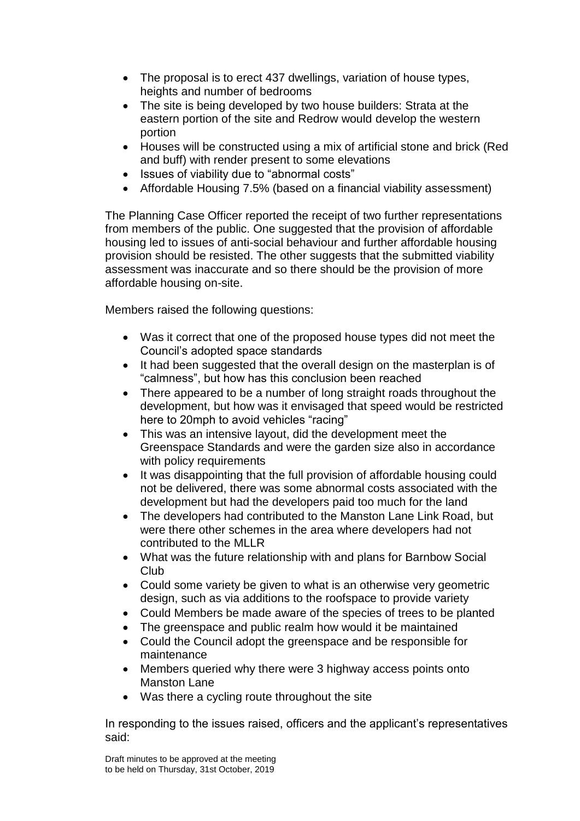- The proposal is to erect 437 dwellings, variation of house types, heights and number of bedrooms
- The site is being developed by two house builders: Strata at the eastern portion of the site and Redrow would develop the western portion
- Houses will be constructed using a mix of artificial stone and brick (Red and buff) with render present to some elevations
- Issues of viability due to "abnormal costs"
- Affordable Housing 7.5% (based on a financial viability assessment)

The Planning Case Officer reported the receipt of two further representations from members of the public. One suggested that the provision of affordable housing led to issues of anti-social behaviour and further affordable housing provision should be resisted. The other suggests that the submitted viability assessment was inaccurate and so there should be the provision of more affordable housing on-site.

Members raised the following questions:

- Was it correct that one of the proposed house types did not meet the Council's adopted space standards
- It had been suggested that the overall design on the masterplan is of "calmness", but how has this conclusion been reached
- There appeared to be a number of long straight roads throughout the development, but how was it envisaged that speed would be restricted here to 20mph to avoid vehicles "racing"
- This was an intensive layout, did the development meet the Greenspace Standards and were the garden size also in accordance with policy requirements
- It was disappointing that the full provision of affordable housing could not be delivered, there was some abnormal costs associated with the development but had the developers paid too much for the land
- The developers had contributed to the Manston Lane Link Road, but were there other schemes in the area where developers had not contributed to the MLLR
- What was the future relationship with and plans for Barnbow Social Club
- Could some variety be given to what is an otherwise very geometric design, such as via additions to the roofspace to provide variety
- Could Members be made aware of the species of trees to be planted
- The greenspace and public realm how would it be maintained
- Could the Council adopt the greenspace and be responsible for maintenance
- Members queried why there were 3 highway access points onto Manston Lane
- Was there a cycling route throughout the site

In responding to the issues raised, officers and the applicant's representatives said: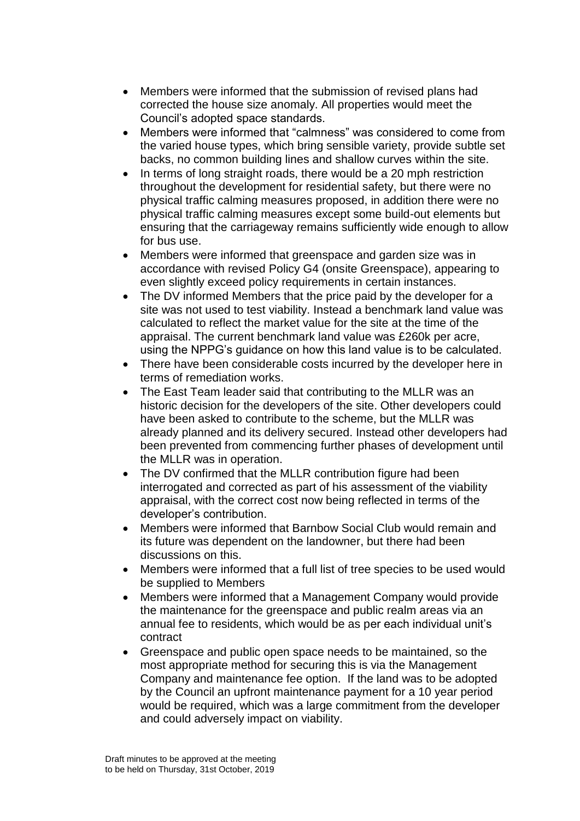- Members were informed that the submission of revised plans had corrected the house size anomaly. All properties would meet the Council's adopted space standards.
- Members were informed that "calmness" was considered to come from the varied house types, which bring sensible variety, provide subtle set backs, no common building lines and shallow curves within the site.
- In terms of long straight roads, there would be a 20 mph restriction throughout the development for residential safety, but there were no physical traffic calming measures proposed, in addition there were no physical traffic calming measures except some build-out elements but ensuring that the carriageway remains sufficiently wide enough to allow for bus use.
- Members were informed that greenspace and garden size was in accordance with revised Policy G4 (onsite Greenspace), appearing to even slightly exceed policy requirements in certain instances.
- The DV informed Members that the price paid by the developer for a site was not used to test viability. Instead a benchmark land value was calculated to reflect the market value for the site at the time of the appraisal. The current benchmark land value was £260k per acre, using the NPPG's guidance on how this land value is to be calculated.
- There have been considerable costs incurred by the developer here in terms of remediation works.
- The East Team leader said that contributing to the MLLR was an historic decision for the developers of the site. Other developers could have been asked to contribute to the scheme, but the MLLR was already planned and its delivery secured. Instead other developers had been prevented from commencing further phases of development until the MLLR was in operation.
- The DV confirmed that the MLLR contribution figure had been interrogated and corrected as part of his assessment of the viability appraisal, with the correct cost now being reflected in terms of the developer's contribution.
- Members were informed that Barnbow Social Club would remain and its future was dependent on the landowner, but there had been discussions on this.
- Members were informed that a full list of tree species to be used would be supplied to Members
- Members were informed that a Management Company would provide the maintenance for the greenspace and public realm areas via an annual fee to residents, which would be as per each individual unit's contract
- Greenspace and public open space needs to be maintained, so the most appropriate method for securing this is via the Management Company and maintenance fee option. If the land was to be adopted by the Council an upfront maintenance payment for a 10 year period would be required, which was a large commitment from the developer and could adversely impact on viability.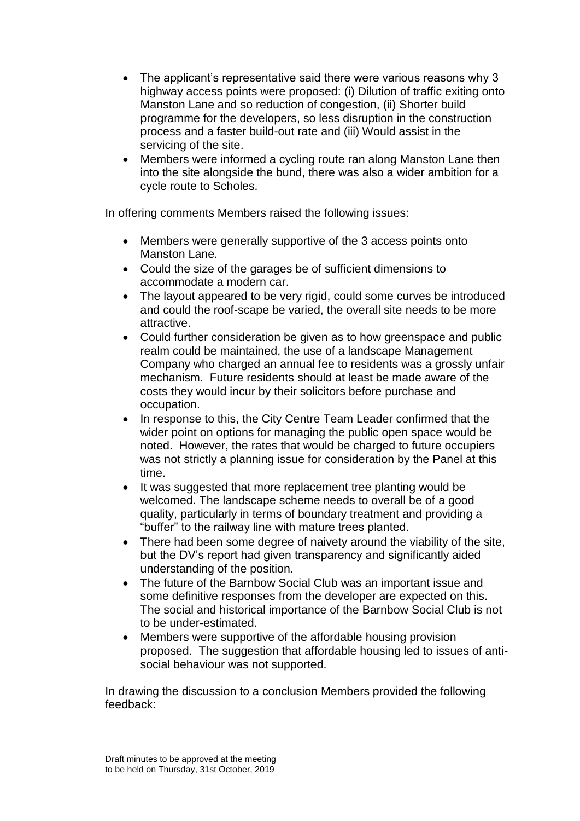- The applicant's representative said there were various reasons why 3 highway access points were proposed: (i) Dilution of traffic exiting onto Manston Lane and so reduction of congestion, (ii) Shorter build programme for the developers, so less disruption in the construction process and a faster build-out rate and (iii) Would assist in the servicing of the site.
- Members were informed a cycling route ran along Manston Lane then into the site alongside the bund, there was also a wider ambition for a cycle route to Scholes.

In offering comments Members raised the following issues:

- Members were generally supportive of the 3 access points onto Manston Lane.
- Could the size of the garages be of sufficient dimensions to accommodate a modern car.
- The layout appeared to be very rigid, could some curves be introduced and could the roof-scape be varied, the overall site needs to be more attractive.
- Could further consideration be given as to how greenspace and public realm could be maintained, the use of a landscape Management Company who charged an annual fee to residents was a grossly unfair mechanism. Future residents should at least be made aware of the costs they would incur by their solicitors before purchase and occupation.
- In response to this, the City Centre Team Leader confirmed that the wider point on options for managing the public open space would be noted. However, the rates that would be charged to future occupiers was not strictly a planning issue for consideration by the Panel at this time.
- It was suggested that more replacement tree planting would be welcomed. The landscape scheme needs to overall be of a good quality, particularly in terms of boundary treatment and providing a "buffer" to the railway line with mature trees planted.
- There had been some degree of naivety around the viability of the site, but the DV's report had given transparency and significantly aided understanding of the position.
- The future of the Barnbow Social Club was an important issue and some definitive responses from the developer are expected on this. The social and historical importance of the Barnbow Social Club is not to be under-estimated.
- Members were supportive of the affordable housing provision proposed. The suggestion that affordable housing led to issues of antisocial behaviour was not supported.

In drawing the discussion to a conclusion Members provided the following feedback: